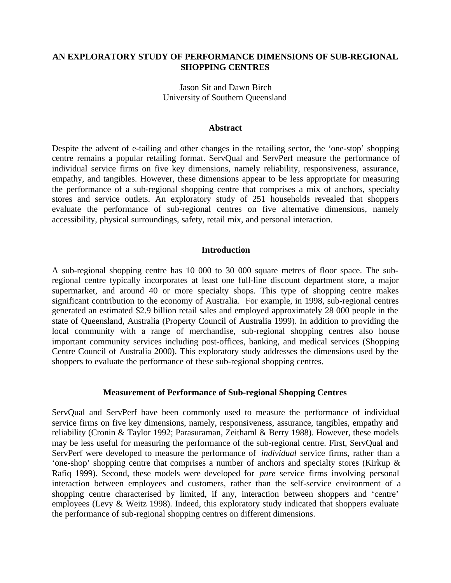# **AN EXPLORATORY STUDY OF PERFORMANCE DIMENSIONS OF SUB-REGIONAL SHOPPING CENTRES**

Jason Sit and Dawn Birch University of Southern Queensland

#### **Abstract**

Despite the advent of e-tailing and other changes in the retailing sector, the 'one-stop' shopping centre remains a popular retailing format. ServQual and ServPerf measure the performance of individual service firms on five key dimensions, namely reliability, responsiveness, assurance, empathy, and tangibles. However, these dimensions appear to be less appropriate for measuring the performance of a sub-regional shopping centre that comprises a mix of anchors, specialty stores and service outlets. An exploratory study of 251 households revealed that shoppers evaluate the performance of sub-regional centres on five alternative dimensions, namely accessibility, physical surroundings, safety, retail mix, and personal interaction.

### **Introduction**

A sub-regional shopping centre has 10 000 to 30 000 square metres of floor space. The subregional centre typically incorporates at least one full-line discount department store, a major supermarket, and around 40 or more specialty shops. This type of shopping centre makes significant contribution to the economy of Australia. For example, in 1998, sub-regional centres generated an estimated \$2.9 billion retail sales and employed approximately 28 000 people in the state of Queensland, Australia (Property Council of Australia 1999). In addition to providing the local community with a range of merchandise, sub-regional shopping centres also house important community services including post-offices, banking, and medical services (Shopping Centre Council of Australia 2000). This exploratory study addresses the dimensions used by the shoppers to evaluate the performance of these sub-regional shopping centres.

### **Measurement of Performance of Sub-regional Shopping Centres**

ServQual and ServPerf have been commonly used to measure the performance of individual service firms on five key dimensions, namely, responsiveness, assurance, tangibles, empathy and reliability (Cronin & Taylor 1992; Parasuraman, Zeithaml & Berry 1988). However, these models may be less useful for measuring the performance of the sub-regional centre. First, ServQual and ServPerf were developed to measure the performance of *individual* service firms, rather than a 'one-shop' shopping centre that comprises a number of anchors and specialty stores (Kirkup & Rafiq 1999). Second, these models were developed for *pure* service firms involving personal interaction between employees and customers, rather than the self-service environment of a shopping centre characterised by limited, if any, interaction between shoppers and 'centre' employees (Levy & Weitz 1998). Indeed, this exploratory study indicated that shoppers evaluate the performance of sub-regional shopping centres on different dimensions.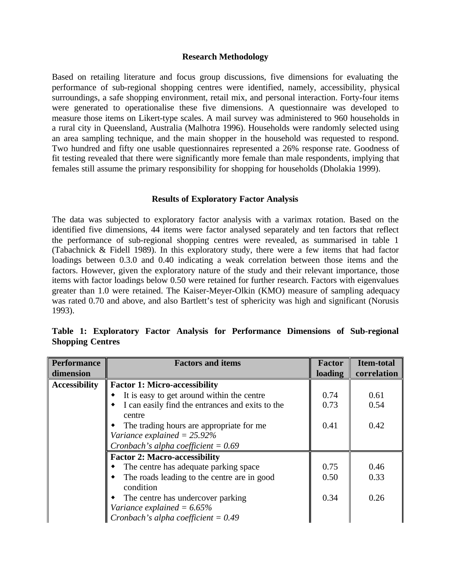### **Research Methodology**

Based on retailing literature and focus group discussions, five dimensions for evaluating the performance of sub-regional shopping centres were identified, namely, accessibility, physical surroundings, a safe shopping environment, retail mix, and personal interaction. Forty-four items were generated to operationalise these five dimensions. A questionnaire was developed to measure those items on Likert-type scales. A mail survey was administered to 960 households in a rural city in Queensland, Australia (Malhotra 1996). Households were randomly selected using an area sampling technique, and the main shopper in the household was requested to respond. Two hundred and fifty one usable questionnaires represented a 26% response rate. Goodness of fit testing revealed that there were significantly more female than male respondents, implying that females still assume the primary responsibility for shopping for households (Dholakia 1999).

### **Results of Exploratory Factor Analysis**

The data was subjected to exploratory factor analysis with a varimax rotation. Based on the identified five dimensions, 44 items were factor analysed separately and ten factors that reflect the performance of sub-regional shopping centres were revealed, as summarised in table 1 (Tabachnick & Fidell 1989). In this exploratory study, there were a few items that had factor loadings between 0.3.0 and 0.40 indicating a weak correlation between those items and the factors. However, given the exploratory nature of the study and their relevant importance, those items with factor loadings below 0.50 were retained for further research. Factors with eigenvalues greater than 1.0 were retained. The Kaiser-Meyer-Olkin (KMO) measure of sampling adequacy was rated 0.70 and above, and also Bartlett's test of sphericity was high and significant (Norusis 1993).

| <b>Performance</b>   | <b>Factors and items</b>                                                                                    | <b>Factor</b> | <b>Item-total</b> |
|----------------------|-------------------------------------------------------------------------------------------------------------|---------------|-------------------|
| dimension            |                                                                                                             | loading       | correlation       |
| <b>Accessibility</b> | <b>Factor 1: Micro-accessibility</b>                                                                        |               |                   |
|                      | It is easy to get around within the centre                                                                  | 0.74          | 0.61              |
|                      | I can easily find the entrances and exits to the<br>centre                                                  | 0.73          | 0.54              |
|                      | The trading hours are appropriate for me                                                                    | 0.41          | 0.42              |
|                      | Variance explained $= 25.92\%$                                                                              |               |                   |
|                      | Cronbach's alpha coefficient = $0.69$                                                                       |               |                   |
|                      | <b>Factor 2: Macro-accessibility</b>                                                                        |               |                   |
|                      | The centre has adequate parking space                                                                       | 0.75          | 0.46              |
|                      | The roads leading to the centre are in good<br>condition                                                    | 0.50          | 0.33              |
|                      | The centre has undercover parking<br>Variance explained = $6.65\%$<br>Cronbach's alpha coefficient = $0.49$ | 0.34          | 0.26              |

**Table 1: Exploratory Factor Analysis for Performance Dimensions of Sub-regional Shopping Centres**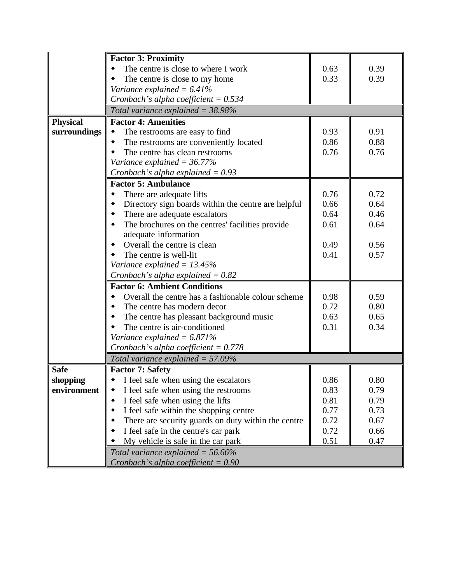|                 | <b>Factor 3: Proximity</b>                          |      |      |
|-----------------|-----------------------------------------------------|------|------|
|                 | The centre is close to where I work                 | 0.63 | 0.39 |
|                 | The centre is close to my home                      | 0.33 | 0.39 |
|                 | Variance explained = $6.41\%$                       |      |      |
|                 | Cronbach's alpha coefficient = $0.534$              |      |      |
|                 | Total variance explained = $38.98\%$                |      |      |
| <b>Physical</b> | <b>Factor 4: Amenities</b>                          |      |      |
| surroundings    | The restrooms are easy to find<br>٠                 | 0.93 | 0.91 |
|                 | The restrooms are conveniently located              | 0.86 | 0.88 |
|                 | The centre has clean restrooms                      | 0.76 | 0.76 |
|                 | Variance explained = $36.77\%$                      |      |      |
|                 | Cronbach's alpha explained = $0.93$                 |      |      |
|                 | <b>Factor 5: Ambulance</b>                          |      |      |
|                 | There are adequate lifts                            | 0.76 | 0.72 |
|                 | Directory sign boards within the centre are helpful | 0.66 | 0.64 |
|                 | There are adequate escalators                       | 0.64 | 0.46 |
|                 | The brochures on the centres' facilities provide    | 0.61 | 0.64 |
|                 | adequate information                                |      |      |
|                 | Overall the centre is clean                         | 0.49 | 0.56 |
|                 | The centre is well-lit                              | 0.41 | 0.57 |
|                 | Variance explained = $13.45\%$                      |      |      |
|                 | Cronbach's alpha explained = $0.82$                 |      |      |
|                 | <b>Factor 6: Ambient Conditions</b>                 |      |      |
|                 | Overall the centre has a fashionable colour scheme  | 0.98 | 0.59 |
|                 | The centre has modern decor                         | 0.72 | 0.80 |
|                 | The centre has pleasant background music            | 0.63 | 0.65 |
|                 | The centre is air-conditioned                       | 0.31 | 0.34 |
|                 | Variance explained $= 6.871\%$                      |      |      |
|                 | Cronbach's alpha coefficient = $0.778$              |      |      |
|                 | Total variance explained = $57.09\%$                |      |      |
| <b>Safe</b>     | <b>Factor 7: Safety</b>                             |      |      |
| shopping        | I feel safe when using the escalators               | 0.86 | 0.80 |
| environment     | I feel safe when using the restrooms                | 0.83 | 0.79 |
|                 | I feel safe when using the lifts<br>٠               | 0.81 | 0.79 |
|                 | I feel safe within the shopping centre              | 0.77 | 0.73 |
|                 | There are security guards on duty within the centre | 0.72 | 0.67 |
|                 | I feel safe in the centre's car park                | 0.72 | 0.66 |
|                 | My vehicle is safe in the car park                  | 0.51 | 0.47 |
|                 | Total variance explained = $56.66\%$                |      |      |
|                 | Cronbach's alpha coefficient = $0.90$               |      |      |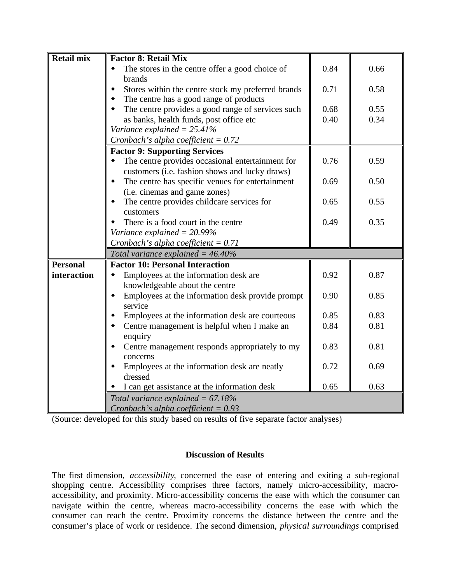| <b>Retail mix</b> | <b>Factor 8: Retail Mix</b>                                                |      |      |
|-------------------|----------------------------------------------------------------------------|------|------|
|                   | The stores in the centre offer a good choice of<br>brands                  | 0.84 | 0.66 |
|                   | Stores within the centre stock my preferred brands                         | 0.71 | 0.58 |
|                   | The centre has a good range of products                                    |      |      |
|                   | The centre provides a good range of services such                          | 0.68 | 0.55 |
|                   | as banks, health funds, post office etc                                    | 0.40 | 0.34 |
|                   | Variance explained = $25.41\%$                                             |      |      |
|                   | Cronbach's alpha coefficient = $0.72$                                      |      |      |
|                   | <b>Factor 9: Supporting Services</b>                                       |      |      |
|                   | The centre provides occasional entertainment for                           | 0.76 | 0.59 |
|                   | customers (i.e. fashion shows and lucky draws)                             |      |      |
|                   | The centre has specific venues for entertainment                           | 0.69 | 0.50 |
|                   | (i.e. cinemas and game zones)                                              |      |      |
|                   | The centre provides childcare services for                                 | 0.65 | 0.55 |
|                   | customers                                                                  |      |      |
|                   | There is a food court in the centre                                        | 0.49 | 0.35 |
|                   | Variance explained $= 20.99\%$                                             |      |      |
|                   | Cronbach's alpha coefficient = $0.71$                                      |      |      |
|                   | Total variance explained $=$ 46.40%                                        |      |      |
| <b>Personal</b>   | <b>Factor 10: Personal Interaction</b>                                     |      |      |
| interaction       | Employees at the information desk are                                      | 0.92 | 0.87 |
|                   | knowledgeable about the centre                                             |      |      |
|                   | Employees at the information desk provide prompt<br>service                | 0.90 | 0.85 |
|                   | Employees at the information desk are courteous                            | 0.85 | 0.83 |
|                   | Centre management is helpful when I make an<br>enquiry                     | 0.84 | 0.81 |
|                   | Centre management responds appropriately to my                             | 0.83 | 0.81 |
|                   | concerns                                                                   |      |      |
|                   | Employees at the information desk are neatly                               | 0.72 | 0.69 |
|                   | dressed                                                                    |      |      |
|                   | I can get assistance at the information desk                               | 0.65 | 0.63 |
|                   |                                                                            |      |      |
|                   | Total variance explained = 67.18%<br>Cronbach's alpha coefficient = $0.93$ |      |      |

(Source: developed for this study based on results of five separate factor analyses)

# **Discussion of Results**

The first dimension, *accessibility*, concerned the ease of entering and exiting a sub-regional shopping centre. Accessibility comprises three factors, namely micro-accessibility, macroaccessibility, and proximity. Micro-accessibility concerns the ease with which the consumer can navigate within the centre, whereas macro-accessibility concerns the ease with which the consumer can reach the centre. Proximity concerns the distance between the centre and the consumer's place of work or residence. The second dimension, *physical surroundings* comprised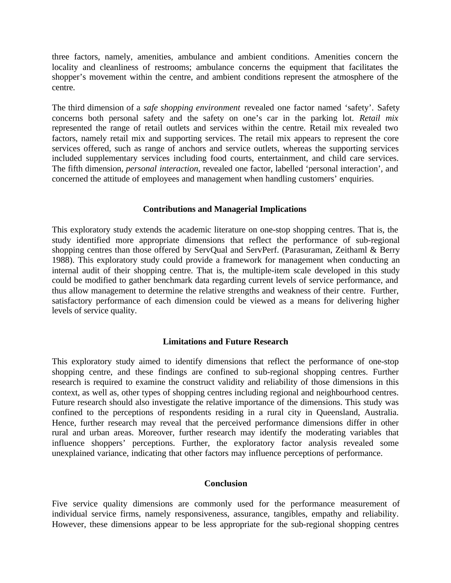three factors, namely, amenities, ambulance and ambient conditions. Amenities concern the locality and cleanliness of restrooms; ambulance concerns the equipment that facilitates the shopper's movement within the centre, and ambient conditions represent the atmosphere of the centre.

The third dimension of a *safe shopping environment* revealed one factor named 'safety'. Safety concerns both personal safety and the safety on one's car in the parking lot. *Retail mix* represented the range of retail outlets and services within the centre. Retail mix revealed two factors, namely retail mix and supporting services. The retail mix appears to represent the core services offered, such as range of anchors and service outlets, whereas the supporting services included supplementary services including food courts, entertainment, and child care services. The fifth dimension, *personal interaction*, revealed one factor, labelled 'personal interaction', and concerned the attitude of employees and management when handling customers' enquiries.

### **Contributions and Managerial Implications**

This exploratory study extends the academic literature on one-stop shopping centres. That is, the study identified more appropriate dimensions that reflect the performance of sub-regional shopping centres than those offered by ServQual and ServPerf. (Parasuraman, Zeithaml & Berry 1988). This exploratory study could provide a framework for management when conducting an internal audit of their shopping centre. That is, the multiple-item scale developed in this study could be modified to gather benchmark data regarding current levels of service performance, and thus allow management to determine the relative strengths and weakness of their centre. Further, satisfactory performance of each dimension could be viewed as a means for delivering higher levels of service quality.

## **Limitations and Future Research**

This exploratory study aimed to identify dimensions that reflect the performance of one-stop shopping centre, and these findings are confined to sub-regional shopping centres. Further research is required to examine the construct validity and reliability of those dimensions in this context, as well as, other types of shopping centres including regional and neighbourhood centres. Future research should also investigate the relative importance of the dimensions. This study was confined to the perceptions of respondents residing in a rural city in Queensland, Australia. Hence, further research may reveal that the perceived performance dimensions differ in other rural and urban areas. Moreover, further research may identify the moderating variables that influence shoppers' perceptions. Further, the exploratory factor analysis revealed some unexplained variance, indicating that other factors may influence perceptions of performance.

### **Conclusion**

Five service quality dimensions are commonly used for the performance measurement of individual service firms, namely responsiveness, assurance, tangibles, empathy and reliability. However, these dimensions appear to be less appropriate for the sub-regional shopping centres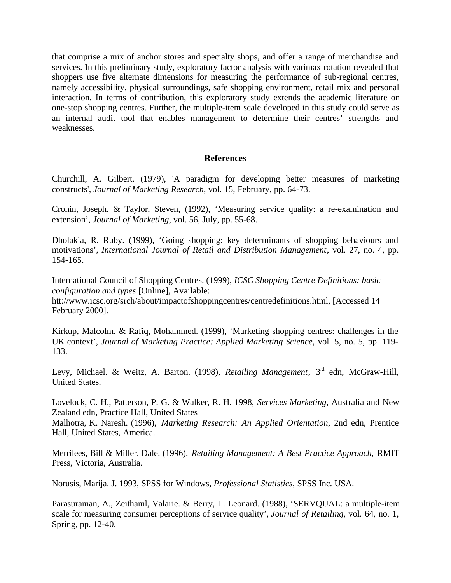that comprise a mix of anchor stores and specialty shops, and offer a range of merchandise and services. In this preliminary study, exploratory factor analysis with varimax rotation revealed that shoppers use five alternate dimensions for measuring the performance of sub-regional centres, namely accessibility, physical surroundings, safe shopping environment, retail mix and personal interaction. In terms of contribution, this exploratory study extends the academic literature on one-stop shopping centres. Further, the multiple-item scale developed in this study could serve as an internal audit tool that enables management to determine their centres' strengths and weaknesses.

## **References**

Churchill, A. Gilbert. (1979), 'A paradigm for developing better measures of marketing constructs', *Journal of Marketing Research*, vol. 15, February, pp. 64-73.

Cronin, Joseph. & Taylor, Steven, (1992), 'Measuring service quality: a re-examination and extension', *Journal of Marketing*, vol. 56, July, pp. 55-68.

Dholakia, R. Ruby. (1999), 'Going shopping: key determinants of shopping behaviours and motivations', *International Journal of Retail and Distribution Management*, vol. 27, no. 4, pp. 154-165.

International Council of Shopping Centres. (1999), *ICSC Shopping Centre Definitions: basic configuration and types* [Online], Available: htt://www.icsc.org/srch/about/impactofshoppingcentres/centredefinitions.html, [Accessed 14

February 2000].

Kirkup, Malcolm. & Rafiq, Mohammed. (1999), 'Marketing shopping centres: challenges in the UK context', *Journal of Marketing Practice: Applied Marketing Science*, vol. 5, no. 5, pp. 119- 133.

Levy, Michael. & Weitz, A. Barton. (1998), *Retailing Management*, 3<sup>rd</sup> edn, McGraw-Hill, United States.

Lovelock, C. H., Patterson, P. G. & Walker, R. H. 1998, *Services Marketing*, Australia and New Zealand edn, Practice Hall, United States

Malhotra, K. Naresh. (1996), *Marketing Research: An Applied Orientation*, 2nd edn, Prentice Hall, United States, America.

Merrilees, Bill & Miller, Dale. (1996), *Retailing Management: A Best Practice Approach*, RMIT Press, Victoria, Australia.

Norusis, Marija. J. 1993, SPSS for Windows, *Professional Statistics*, SPSS Inc. USA.

Parasuraman, A., Zeithaml, Valarie. & Berry, L. Leonard. (1988), 'SERVQUAL: a multiple-item scale for measuring consumer perceptions of service quality', *Journal of Retailing*, vol. 64, no. 1, Spring, pp. 12-40.